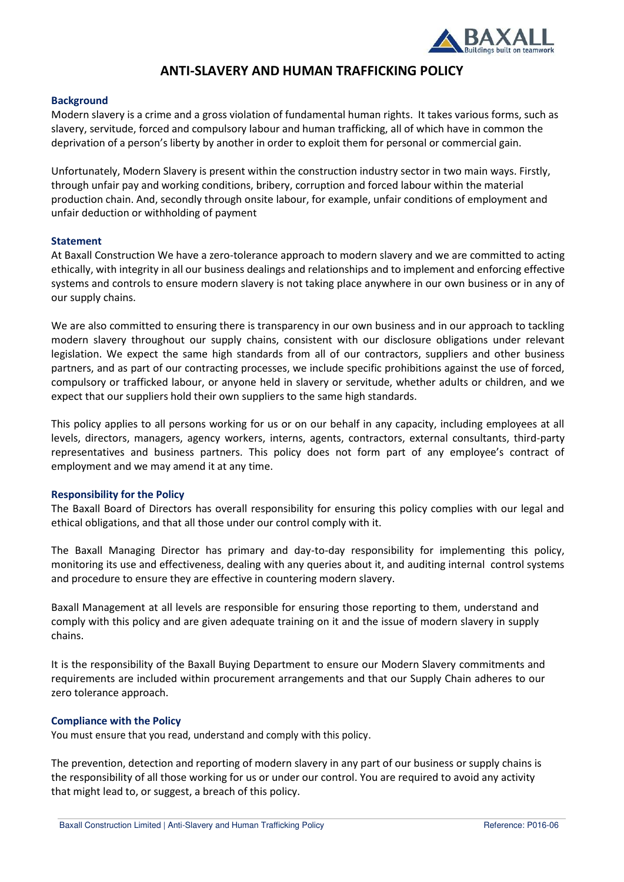

# **ANTI-SLAVERY AND HUMAN TRAFFICKING POLICY**

## **Background**

Modern slavery is a crime and a gross violation of fundamental human rights. It takes various forms, such as slavery, servitude, forced and compulsory labour and human trafficking, all of which have in common the deprivation of a person's liberty by another in order to exploit them for personal or commercial gain.

Unfortunately, Modern Slavery is present within the construction industry sector in two main ways. Firstly, through unfair pay and working conditions, bribery, corruption and forced labour within the material production chain. And, secondly through onsite labour, for example, unfair conditions of employment and unfair deduction or withholding of payment

## **Statement**

At Baxall Construction We have a zero-tolerance approach to modern slavery and we are committed to acting ethically, with integrity in all our business dealings and relationships and to implement and enforcing effective systems and controls to ensure modern slavery is not taking place anywhere in our own business or in any of our supply chains.

We are also committed to ensuring there is transparency in our own business and in our approach to tackling modern slavery throughout our supply chains, consistent with our disclosure obligations under relevant legislation. We expect the same high standards from all of our contractors, suppliers and other business partners, and as part of our contracting processes, we include specific prohibitions against the use of forced, compulsory or trafficked labour, or anyone held in slavery or servitude, whether adults or children, and we expect that our suppliers hold their own suppliers to the same high standards.

This policy applies to all persons working for us or on our behalf in any capacity, including employees at all levels, directors, managers, agency workers, interns, agents, contractors, external consultants, third-party representatives and business partners. This policy does not form part of any employee's contract of employment and we may amend it at any time.

## **Responsibility for the Policy**

The Baxall Board of Directors has overall responsibility for ensuring this policy complies with our legal and ethical obligations, and that all those under our control comply with it.

The Baxall Managing Director has primary and day-to-day responsibility for implementing this policy, monitoring its use and effectiveness, dealing with any queries about it, and auditing internal control systems and procedure to ensure they are effective in countering modern slavery.

Baxall Management at all levels are responsible for ensuring those reporting to them, understand and comply with this policy and are given adequate training on it and the issue of modern slavery in supply chains.

It is the responsibility of the Baxall Buying Department to ensure our Modern Slavery commitments and requirements are included within procurement arrangements and that our Supply Chain adheres to our zero tolerance approach.

## **Compliance with the Policy**

You must ensure that you read, understand and comply with this policy.

The prevention, detection and reporting of modern slavery in any part of our business or supply chains is the responsibility of all those working for us or under our control. You are required to avoid any activity that might lead to, or suggest, a breach of this policy.